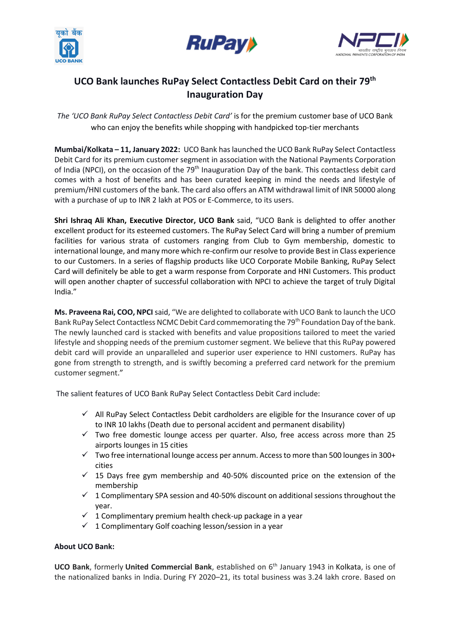





## **UCO Bank launches RuPay Select Contactless Debit Card on their 79th Inauguration Day**

*The 'UCO Bank RuPay Select Contactless Debit Card'* is for the premium customer base of UCO Bank who can enjoy the benefits while shopping with handpicked top-tier merchants

**Mumbai/Kolkata – 11, January 2022:** UCO Bank haslaunched the UCO Bank RuPay Select Contactless Debit Card for its premium customer segment in association with the National Payments Corporation of India (NPCI), on the occasion of the 79<sup>th</sup> Inauguration Day of the bank. This contactless debit card comes with a host of benefits and has been curated keeping in mind the needs and lifestyle of premium/HNI customers of the bank. The card also offers an ATM withdrawal limit of INR 50000 along with a purchase of up to INR 2 lakh at POS or E-Commerce, to its users.

**Shri Ishraq Ali Khan, Executive Director, UCO Bank** said, "UCO Bank is delighted to offer another excellent product for its esteemed customers. The RuPay Select Card will bring a number of premium facilities for various strata of customers ranging from Club to Gym membership, domestic to international lounge, and many more which re-confirm our resolve to provide Best in Class experience to our Customers. In a series of flagship products like UCO Corporate Mobile Banking, RuPay Select Card will definitely be able to get a warm response from Corporate and HNI Customers. This product will open another chapter of successful collaboration with NPCI to achieve the target of truly Digital India."

**Ms. Praveena Rai, COO, NPCI** said, "We are delighted to collaborate with UCO Bank to launch the UCO Bank RuPay Select Contactless NCMC Debit Card commemorating the 79<sup>th</sup> Foundation Day of the bank. The newly launched card is stacked with benefits and value propositions tailored to meet the varied lifestyle and shopping needs of the premium customer segment. We believe that this RuPay powered debit card will provide an unparalleled and superior user experience to HNI customers. RuPay has gone from strength to strength, and is swiftly becoming a preferred card network for the premium customer segment."

The salient features of UCO Bank RuPay Select Contactless Debit Card include:

- $\checkmark$  All RuPay Select Contactless Debit cardholders are eligible for the Insurance cover of up to INR 10 lakhs (Death due to personal accident and permanent disability)
- $\checkmark$  Two free domestic lounge access per quarter. Also, free access across more than 25 airports lounges in 15 cities
- $\checkmark$  Two free international lounge access per annum. Access to more than 500 lounges in 300+ cities
- $\checkmark$  15 Days free gym membership and 40-50% discounted price on the extension of the membership
- $\checkmark$  1 Complimentary SPA session and 40-50% discount on additional sessions throughout the year.
- $\checkmark$  1 Complimentary premium health check-up package in a year
- $1$  Complimentary Golf coaching lesson/session in a year

## **About UCO Bank:**

**UCO Bank**, formerly **United Commercial Bank**, established on 6<sup>th</sup> January 1943 in Kolkata, is one of the nationalized banks in India. During FY 2020–21, its total business was 3.24 lakh crore. Based on